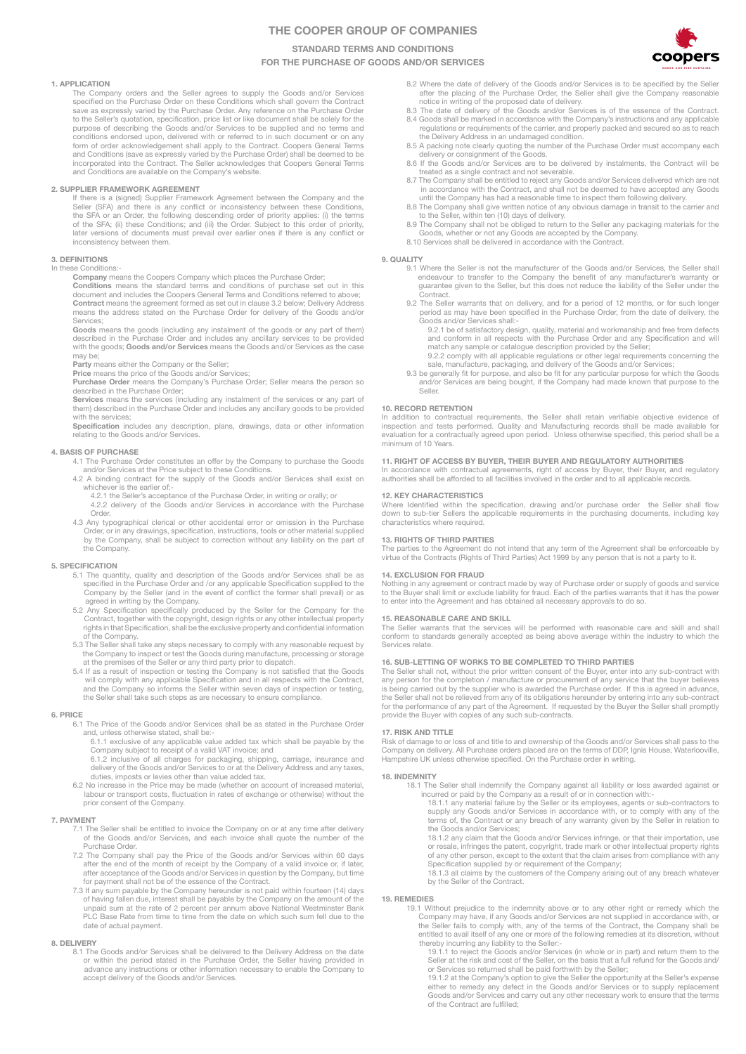# THE COOPER GROUP OF COMPANIES

STANDARD TERMS AND CONDITIONS

FOR THE PURCHASE OF GOODS AND/OR SERVICES

### 1. APPLICATION

The Company orders and the Seller agrees to supply the Goods and/or Services specified on the Purchase Order on these Conditions which shall govern the Contract save as expressly varied by the Purchase Order. Any reference on the Purchase Order<br>to the Seller's quotation, specification, price list or like document shall be solely for the<br>purpose of describing the Goods and/or Servi conditions endorsed upon, delivered with or referred to in such document or on any form of order acknowledgement shall apply to the Contract. Coopers General Terms<br>and Conditions (save as expressly varied by the Purchase Order) shall be deemed to be<br>incorporated into the Contract. The Seller acknowledges

### 2. SUPPLIER FRAMEWORK AGREEMENT

If there is a (signed) Supplier Framework Agreement between the Company and the Seller (SFA) and there is any conflict or inconsistency between these Conditions, the SFA or an Order, the following descending order of priority applies: (i) the terms<br>of the SFA; (ii) these Conditions; and (iii) the Order. Subject to this order of priority,<br>later versions of documents must prevail ove inconsistency between them.

## 3. DEFINITIONS

In these Conditions:-

Company means the Coopers Company which places the Purchase Order; Conditions means the standard terms and conditions of purchase set out in this document and includes the Coopers General Terms and Conditions referred to above;<br>Contract means the agreement formed as set out in clause 3.2 below; Delivery Address means the address stated on the Purchase Order for delivery of the Goods and/or Services;

Goods means the goods (including any instalment of the goods or any part of them) described in the Purchase Order and includes any ancillary services to be provided with the goods; Goods and/or Services means the Goods and/or Services as the case may be;

Party means either the Company or the Seller;

Price means the price of the Goods and/or Services; Purchase Order means the Company's Purchase Order; Seller means the person so described in the Purchase Order;

Services means the services (including any instalment of the services or any part of them) described in the Purchase Order and includes any ancillary goods to be provided

with the services; Specification includes any description, plans, drawings, data or other information relating to the Goods and/or Services.

### 4. BASIS OF PURCHASE

4.1 The Purchase Order constitutes an offer by the Company to purchase the Goods

and/or Services at the Price subject to these Conditions. 4.2 A binding contract for the supply of the Goods and/or Services shall exist on whichever is the earlier of:-

- 4.2.1 the Seller's acceptance of the Purchase Order, in writing or orally; or 4.2.2 delivery of the Goods and/or Services in accordance with the Purchase Order.
- 4.3 Any typographical clerical or other accidental error or omission in the Purchase Order, or in any drawings, specification, instructions, tools or other material supplied by the Company, shall be subject to correction without any liability on the part of the Company.

### 5. SPECIFICATION

- 5.1 The quantity, quality and description of the Goods and/or Services shall be as specified in the Purchase Order and /or any applicable Specification supplied to the Company by the Seller (and in the event of conflict the former shall prevail) or as agreed in writing by the Company.
- 5.2 Any Specification specifically produced by the Seller for the Company for the Contract, together with the copyright, design rights or any other intellectual property rights in that Specification, shall be the exclusive property and confidential information of the Company.
- 5.3 The Seller shall take any steps necessary to comply with any reasonable request by the Company to inspect or test the Goods during manufacture, processing or storage
- at the premises of the Seller or any third party prior to dispatch. 5.4 If as a result of inspection or testing the Company is not satisfied that the Goods will comply with any applicable Specification and in all respects with the Contract, and the Company so informs the Seller within seven days of inspection or testing, the Seller shall take such steps as are necessary to ensure compliance.

#### 6. PRICE

6.1 The Price of the Goods and/or Services shall be as stated in the Purchase Order

and, unless otherwise stated, shall be:- 6.1.1 exclusive of any applicable value added tax which shall be payable by the

Company subject to receipt of a valid VAT invoice; and<br>6.1.2 inclusive of all charges for packaging, shipping, carriage, insurance and delivery of the Goods and/or Services to or at the Delivery Address and any taxes,<br>deli

6.2 No increase in the Price may be made (whether on account of increased material, labour or transport costs, fluctuation in rates of exchange or otherwise) without the prior consent of the Company.

#### 7. PAYMENT

- 7.1 The Seller shall be entitled to invoice the Company on or at any time after delivery of the Goods and/or Services, and each invoice shall quote the number of the Purchase Order.
- 7.2 The Company shall pay the Price of the Goods and/or Services within 60 days after the end of the month of receipt by the Company of a valid invoice or, if later, after acceptance of the Goods and/or Services in question by the Company, but time for payment shall not be of the essence of the Contract.
- 7.3 If any sum payable by the Company hereunder is not paid within fourteen (14) days<br>of having fallen due, interest shall be payable by the Company on the amount of the<br>unpaid sum at the rate of 2 percent per annum above PLC Base Rate from time to time from the date on which such sum fell due to the date of actual payment.

#### 8. DELIVERY

8.1 The Goods and/or Services shall be delivered to the Delivery Address on the date or within the period stated in the Purchase Order, the Seller having provided in advance any instructions or other information necessary to enable the Company to accept delivery of the Goods and/or Services.

- 8.2 Where the date of delivery of the Goods and/or Services is to be specified by the Seller after the placing of the Purchase Order, the Seller shall give the Company reasonable notice in writing of the proposed date of d
- 8.3 The date of delivery of the Goods and/or Services is of the essence of the Contract.<br>8.4 Goods shall be marked in accordance with the Company's instructions and any applicable<br>requlations or requirements of the carrier the Delivery Address in an undamaged condition.
- 8.5 A packing note clearly quoting the number of the Purchase Order must accompany each delivery or consignment of the Goods.
- 8.6 If the Goods and/or Services are to be delivered by instalments, the Contract will be treated as a single contract and not severable.<br>8.7 The Company shall be entitled to reject any Goods and/or Services delivered whic
- 
- until the Company has had a reasonable time to inspect them following delivery. 8.8 The Company shall give written notice of any obvious damage in transit to the carrier and to the Seller, within ten (10) days of delivery.
- 8.9 The Company shall not be obliged to return to the Seller any packaging materials for the Goods, whether or not any Goods are accepted by the Company.
- 8.10 Services shall be delivered in accordance with the Contract.

#### 9. OLIALITY

- 9.1 Where the Seller is not the manufacturer of the Goods and/or Services, the Seller shall endeavour to transfer to the Company the benefit of any manufacturer's warranty or guarantee given to the Seller, but this does not reduce the liability of the Seller under the .<br>Contract.
- 9.2 The Seller warrants that on delivery, and for a period of 12 months, or for such longer period as may have been specified in the Purchase Order, from the date of delivery, the Goods and/or Services shall:-
	- 9.2.1 be of satisfactory design, quality, material and workmanship and free from defects and conform in all respects with the Purchase Order and any Specification and will match any sample or catalogue description provided by the Seller;
	- 9.2.2 comply with all applicable regulations or other legal requirements concerning the
- sale, manufacture, packaging, and delivery of the Goods and/or Services;<br>9.3 be generally fit for purpose, and also be fit for any particular purpose for which the Goods<br>and/or Services are being bought, if the Company had Seller.

### 10. RECORD RETENTION

In addition to contractual requirements, the Seller shall retain verifiable objective evidence of<br>inspection and tests performed. Quality and Manufacturing records shall be made available for<br>evaluation for a contractually minimum of 10 Years.

## 11. RIGHT OF ACCESS BY BUYER, THEIR BUYER AND REGULATORY AUTHORITIES

In accordance with contractual agreements, right of access by Buyer, their Buyer, and regulatory authorities shall be afforded to all facilities involved in the order and to all applicable records.

## 12. KEY CHARACTERISTICS

Where Identified within the specification, drawing and/or purchase order the Seller shall flow<br>down to sub-tier Sellers the applicable requirements in the purchasing documents, including key characteristics where required.

#### 13. RIGHTS OF THIRD PARTIES

The parties to the Agreement do not intend that any term of the Agreement shall be enforceable by virtue of the Contracts (Rights of Third Parties) Act 1999 by any person that is not a party to it.

#### 14. EXCLUSION FOR FRAUD

Nothing in any agreement or contract made by way of Purchase order or supply of goods and service to the Buyer shall limit or exclude liability for fraud. Each of the parties warrants that it has the power to enter into the Agreement and has obtained all necessary approvals to do so.

#### 15. REASONABLE CARE AND SKILL

The Seller warrants that the services will be performed with reasonable care and skill and shall conform to standards generally accepted as being above average within the industry to which the Services relate.

#### 16. SUB-LETTING OF WORKS TO BE COMPLETED TO THIRD PARTIES

The Seller shall not, without the prior written consent of the Buyer, enter into any sub-contract with any person for the completion / manufacture or procurement of any service that the buyer believes is being carried out by the supplier who is awarded the Purchase order. If this is agreed in advance, the Seller shall not be relieved from any of its obligations hereunder by entering into any sub-contract for the performance of any part of the Agreement. If requested by the Buyer the Seller shall promptly provide the Buyer with copies of any such sub-contracts.

#### 17. RISK AND TITLE

Risk of damage to or loss of and title to and ownership of the Goods and/or Services shall pass to the<br>Company on delivery. All Purchase orders placed are on the terms of DDP, Ignis House, Waterlooville,<br>Hampshire UK unles

#### 18. INDEMNITY

- 18.1 The Seller shall indemnify the Company against all liability or loss awarded against or incurred or paid by the Company as a result of or in connection with:<br>18.1.1 any material failure by the Seller or its employees, the Goods and/or Services;
	- 18.1.2 any claim that the Goods and/or Services infringe, or that their importation, use or resale, infringes the patent, copyright, trade mark or other intellectual property rights of any other person, except to the extent that the claim arises from compliance with any Specification supplied by or requirement of the Company;
	- 18.1.3 all claims by the customers of the Company arising out of any breach whatever by the Seller of the Contract.

## 19. REMEDIES

- 19.1 Without prejudice to the indemnity above or to any other right or remedy which the Company may have, if any Goods and/or Services are not supplied in accordance with, or the Seller fails to comply with, any of the ter
- thereby incurring any liability to the Seller:-<br>19.1.1 to reject the Goods and/or Services (in whole or in part) and return them to the<br>Seller at the risk and cost of the Seller, on the basis that a full refund for the Goo
	- or Services so returned shall be paid forthwith by the Seller;<br>19.1.2 at the Company's option to give the Seller the opportunity at the Seller's expense<br>either to remedy any defect in the Goods and/or Services or to supply Goods and/or Services and carry out any other necessary work to ensure that the terms of the Contract are fulfilled;